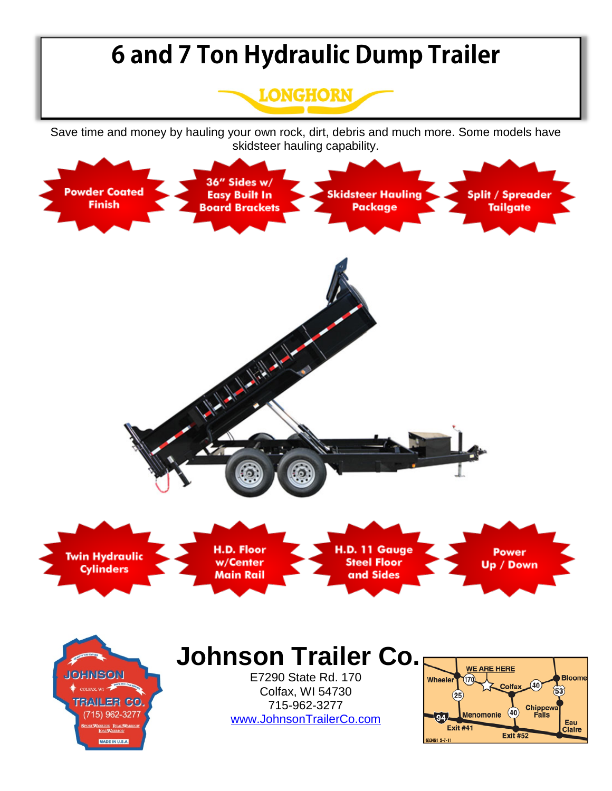## **6 and 7 Ton Hydraulic Dump Trailer LONGHORN** Save time and money by hauling your own rock, dirt, debris and much more. Some models have skidsteer hauling capability. 36" Sides w/ **Powder Coated Split / Spreader Skidsteer Hauling Easy Built In Finish Board Brackets** Package **Tailgate** A Mary Miller H.D. Floor H.D. 11 Gauge **Power** Twin Hydraulic **Steel Floor** w/Center Up / Down **Cylinders** Main Rail and Sides **Johnson Trailer Co. WE ARE HERE JOHNSON** E7290 State Rd. 170 **Bloome** Wheeler Colfax  $(40)$ Colfax, WI 54730  $(53)$  $(25)$ **TRAILER CO.** 715-962-3277 Chippewa<br>Falls  $(40)$ Menomonie 15) 962-3277 [www.JohnsonTrailerCo.com](http://www.johnsontrailerco.com/)Eau **Exit #41** Claire **Exit #52** 833461 5-7-11 MADE IN U.S.A.